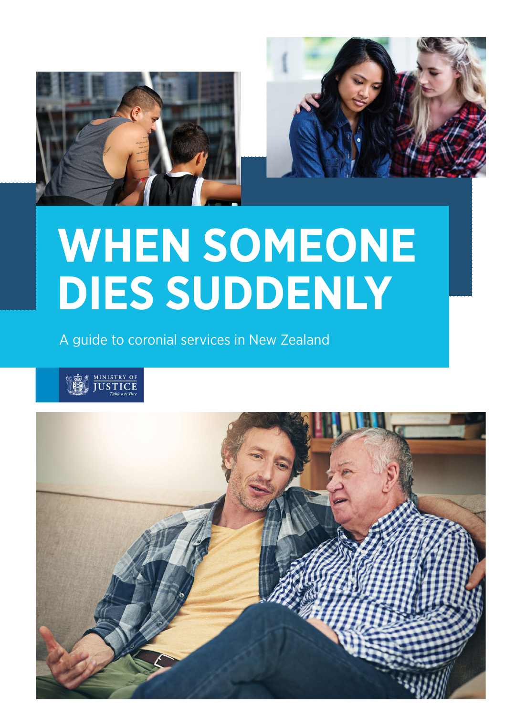



# **WHEN SOMEONE DIES SUDDENLY**

A guide to coronial services in New Zealand



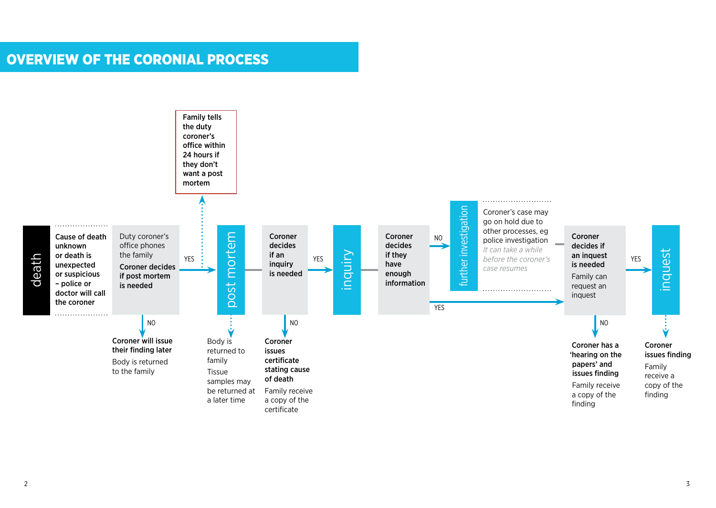# OVERVIEW OF THE CORONIAL PROCESS

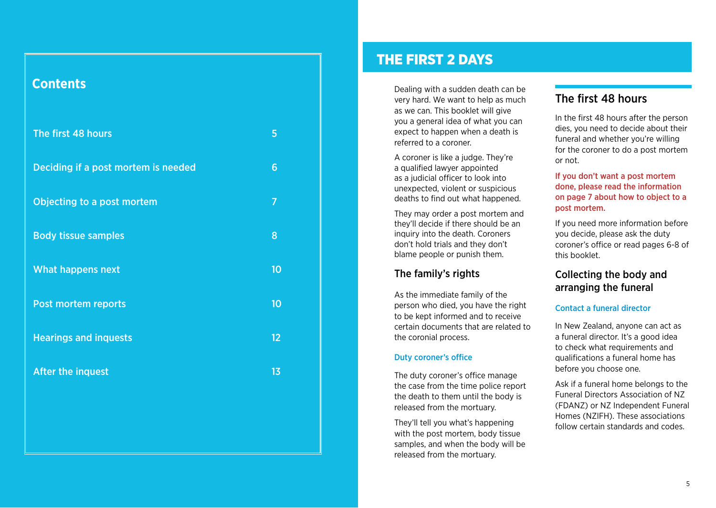# **Contents**

| The first 48 hours                  |    |
|-------------------------------------|----|
| Deciding if a post mortem is needed |    |
| Objecting to a post mortem          | 7  |
| <b>Body tissue samples</b>          | 8  |
| <b>What happens next</b>            | 10 |
| <b>Post mortem reports</b>          | 10 |
|                                     |    |
| <b>Hearings and inquests</b>        | 12 |
| After the inquest                   | 13 |

# THE FIRST 2 DAYS

Dealing with a sudden death can be very hard. We want to help as much as we can. This booklet will give you a general idea of what you can expect to happen when a death is referred to a coroner.

A coroner is like a judge. They're a qualified lawyer appointed as a judicial officer to look into unexpected, violent or suspicious deaths to find out what happened.

They may order a post mortem and they'll decide if there should be an inquiry into the death. Coroners don't hold trials and they don't blame people or punish them.

## The family's rights

As the immediate family of the person who died, you have the right to be kept informed and to receive certain documents that are related to the coronial process.

#### Duty coroner's office

The duty coroner's office manage the case from the time police report the death to them until the body is released from the mortuary.

They'll tell you what's happening with the post mortem, body tissue samples, and when the body will be released from the mortuary.

## The first 48 hours

In the first 48 hours after the person dies, you need to decide about their funeral and whether you're willing for the coroner to do a post mortem or not.

If you don't want a post mortem done, please read the information on page 7 about how to object to a post mortem.

If you need more information before you decide, please ask the duty coroner's office or read pages 6-8 of this booklet.

## Collecting the body and arranging the funeral

#### Contact a funeral director

In New Zealand, anyone can act as a funeral director. It's a good idea to check what requirements and qualifications a funeral home has before you choose one.

Ask if a funeral home belongs to the Funeral Directors Association of NZ (FDANZ) or NZ Independent Funeral Homes (NZIFH). These associations follow certain standards and codes.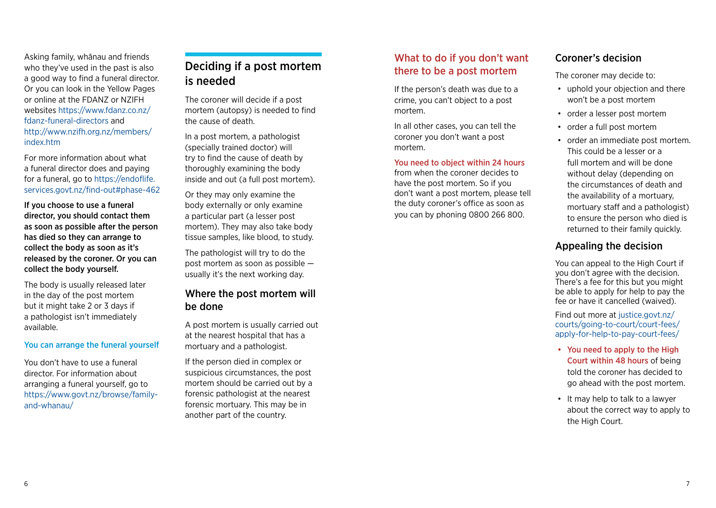<span id="page-3-0"></span>Asking family, whānau and friends who they've used in the past is also a good way to find a funeral director. Or you can look in the Yellow Pages or online at the FDANZ or NZIFH websites https://www.fdanz.co.nz/ fdanz-funeral-directors and http://www.nzifh.org.nz/members/ index.htm

For more information about what a funeral director does and paying for a funeral, go to https://endoflife. services.govt.nz/find-out#phase-462

If you choose to use a funeral director, you should contact them as soon as possible after the person has died so they can arrange to collect the body as soon as it's released by the coroner. Or you can collect the body yourself.

The body is usually released later in the day of the post mortem but it might take 2 or 3 days if a pathologist isn't immediately available.

#### You can arrange the funeral yourself

You don't have to use a funeral director. For information about arranging a funeral yourself, go to https://www.govt.nz/browse/familyand-whanau/

## Deciding if a post mortem is needed

The coroner will decide if a post mortem (autopsy) is needed to find the cause of death.

In a post mortem, a pathologist (specially trained doctor) will try to find the cause of death by thoroughly examining the body inside and out (a full post mortem).

Or they may only examine the body externally or only examine a particular part (a lesser post mortem). They may also take body tissue samples, like blood, to study.

The pathologist will try to do the post mortem as soon as possible usually it's the next working day.

## Where the post mortem will be done

A post mortem is usually carried out at the nearest hospital that has a mortuary and a pathologist.

If the person died in complex or suspicious circumstances, the post mortem should be carried out by a forensic pathologist at the nearest forensic mortuary. This may be in another part of the country.

## What to do if you don't want there to be a post mortem

If the person's death was due to a crime, you can't object to a post mortem.

In all other cases, you can tell the coroner you don't want a post mortem.

#### You need to object within 24 hours

from when the coroner decides to have the post mortem. So if you don't want a post mortem, please tell the duty coroner's office as soon as you can by phoning 0800 266 800.

## Coroner's decision

The coroner may decide to:

- uphold your objection and there won't be a post mortem
- order a lesser post mortem
- order a full post mortem
- order an immediate post mortem. This could be a lesser or a full mortem and will be done without delay (depending on the circumstances of death and the availability of a mortuary, mortuary staff and a pathologist) to ensure the person who died is returned to their family quickly.

## Appealing the decision

You can appeal to the High Court if you don't agree with the decision. There's a fee for this but you might be able to apply for help to pay the fee or have it cancelled (waived).

Find out more at justice.govt.nz/ courts/going-to-court/court-fees/ apply-for-help-to-pay-court-fees/

- You need to apply to the High Court within 48 hours of being told the coroner has decided to go ahead with the post mortem.
- It may help to talk to a lawyer about the correct way to apply to the High Court.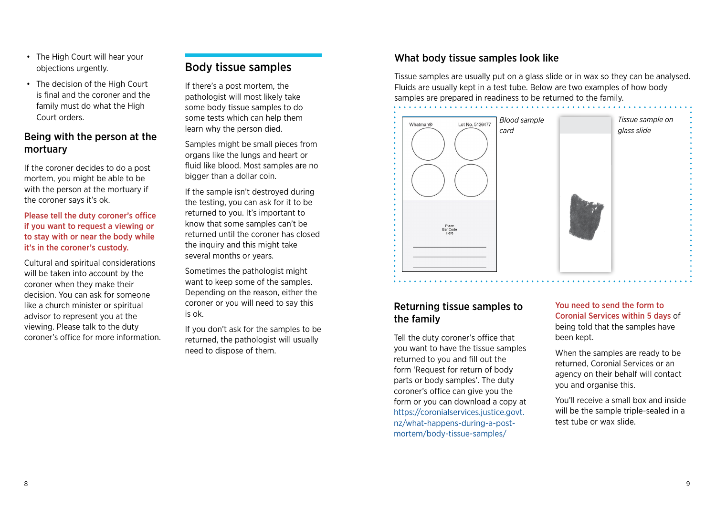- <span id="page-4-0"></span>• The High Court will hear your objections urgently.
- The decision of the High Court is final and the coroner and the family must do what the High Court orders.

## Being with the person at the mortuary

If the coroner decides to do a post mortem, you might be able to be with the person at the mortuary if the coroner says it's ok.

Please tell the duty coroner's office if you want to request a viewing or to stay with or near the body while it's in the coroner's custody.

Cultural and spiritual considerations will be taken into account by the coroner when they make their decision. You can ask for someone like a church minister or spiritual advisor to represent you at the viewing. Please talk to the duty coroner's office for more information.

## Body tissue samples

If there's a post mortem, the pathologist will most likely take some body tissue samples to do some tests which can help them learn why the person died.

Samples might be small pieces from organs like the lungs and heart or fluid like blood. Most samples are no bigger than a dollar coin.

If the sample isn't destroyed during the testing, you can ask for it to be returned to you. It's important to know that some samples can't be returned until the coroner has closed the inquiry and this might take several months or years.

Sometimes the pathologist might want to keep some of the samples. Depending on the reason, either the coroner or you will need to say this is ok.

If you don't ask for the samples to be returned, the pathologist will usually need to dispose of them.

## What body tissue samples look like

Tissue samples are usually put on a glass slide or in wax so they can be analysed. Fluids are usually kept in a test tube. Below are two examples of how body samples are prepared in readiness to be returned to the family.

![](_page_4_Picture_14.jpeg)

## Returning tissue samples to the family

Tell the duty coroner's office that you want to have the tissue samples returned to you and fill out the form 'Request for return of body parts or body samples'. The duty coroner's office can give you the form or you can download a copy at https://coronialservices.justice.govt. nz/what-happens-during-a-postmortem/body-tissue-samples/

#### You need to send the form to Coronial Services within 5 days of being told that the samples have been kept.

When the samples are ready to be returned, Coronial Services or an agency on their behalf will contact you and organise this.

You'll receive a small box and inside will be the sample triple-sealed in a test tube or wax slide.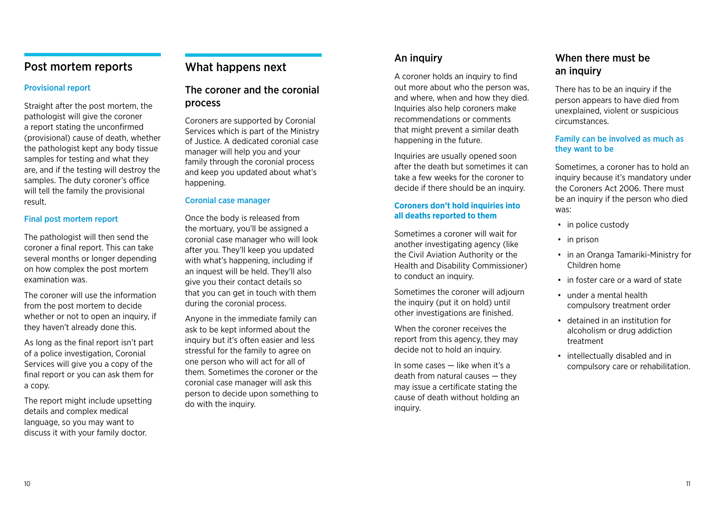## <span id="page-5-0"></span>Post mortem reports

#### Provisional report

Straight after the post mortem, the pathologist will give the coroner a report stating the unconfirmed (provisional) cause of death, whether the pathologist kept any body tissue samples for testing and what they are, and if the testing will destroy the samples. The duty coroner's office will tell the family the provisional result.

#### Final post mortem report

The pathologist will then send the coroner a final report. This can take several months or longer depending on how complex the post mortem examination was.

The coroner will use the information from the post mortem to decide whether or not to open an inquiry, if they haven't already done this.

As long as the final report isn't part of a police investigation, Coronial Services will give you a copy of the final report or you can ask them for a copy.

The report might include upsetting details and complex medical language, so you may want to discuss it with your family doctor.

## What happens next

## The coroner and the coronial process

Coroners are supported by Coronial Services which is part of the Ministry of Justice. A dedicated coronial case manager will help you and your family through the coronial process and keep you updated about what's happening.

#### Coronial case manager

Once the body is released from the mortuary, you'll be assigned a coronial case manager who will look after you. They'll keep you updated with what's happening, including if an inquest will be held. They'll also give you their contact details so that you can get in touch with them during the coronial process.

Anyone in the immediate family can ask to be kept informed about the inquiry but it's often easier and less stressful for the family to agree on one person who will act for all of them. Sometimes the coroner or the coronial case manager will ask this person to decide upon something to do with the inquiry.

## An inquiry

A coroner holds an inquiry to find out more about who the person was, and where, when and how they died. Inquiries also help coroners make recommendations or comments that might prevent a similar death happening in the future.

Inquiries are usually opened soon after the death but sometimes it can take a few weeks for the coroner to decide if there should be an inquiry.

#### **Coroners don't hold inquiries into all deaths reported to them**

Sometimes a coroner will wait for another investigating agency (like the Civil Aviation Authority or the Health and Disability Commissioner) to conduct an inquiry.

Sometimes the coroner will adjourn the inquiry (put it on hold) until other investigations are finished.

When the coroner receives the report from this agency, they may decide not to hold an inquiry.

In some cases — like when it's a death from natural causes — they may issue a certificate stating the cause of death without holding an inquiry.

## When there must be an inquiry

There has to be an inquiry if the person appears to have died from unexplained, violent or suspicious circumstances.

#### Family can be involved as much as they want to be

Sometimes, a coroner has to hold an inquiry because it's mandatory under the Coroners Act 2006. There must be an inquiry if the person who died was:

- in police custody
- in prison
- in an Oranga Tamariki-Ministry for Children home
- in foster care or a ward of state
- under a mental health compulsory treatment order
- detained in an institution for alcoholism or drug addiction treatment
- intellectually disabled and in compulsory care or rehabilitation.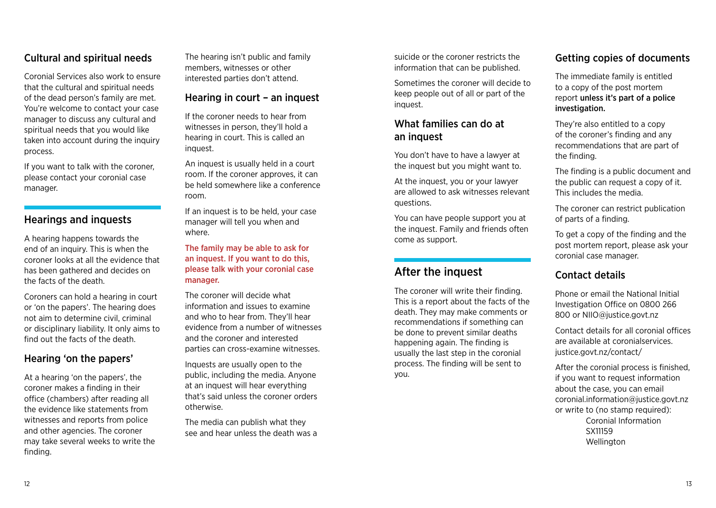## <span id="page-6-0"></span>Cultural and spiritual needs

Coronial Services also work to ensure that the cultural and spiritual needs of the dead person's family are met. You're welcome to contact your case manager to discuss any cultural and spiritual needs that you would like taken into account during the inquiry process.

If you want to talk with the coroner, please contact your coronial case manager.

## Hearings and inquests

A hearing happens towards the end of an inquiry. This is when the coroner looks at all the evidence that has been gathered and decides on the facts of the death.

Coroners can hold a hearing in court or 'on the papers'. The hearing does not aim to determine civil, criminal or disciplinary liability. It only aims to find out the facts of the death.

## Hearing 'on the papers'

At a hearing 'on the papers', the coroner makes a finding in their office (chambers) after reading all the evidence like statements from witnesses and reports from police and other agencies. The coroner may take several weeks to write the finding.

The hearing isn't public and family members, witnesses or other interested parties don't attend.

### Hearing in court – an inquest

If the coroner needs to hear from witnesses in person, they'll hold a hearing in court. This is called an inquest.

An inquest is usually held in a court room. If the coroner approves, it can be held somewhere like a conference room.

If an inquest is to be held, your case manager will tell you when and where.

The family may be able to ask for an inquest. If you want to do this, please talk with your coronial case manager.

The coroner will decide what information and issues to examine and who to hear from. They'll hear evidence from a number of witnesses and the coroner and interested parties can cross-examine witnesses.

Inquests are usually open to the public, including the media. Anyone at an inquest will hear everything that's said unless the coroner orders otherwise.

The media can publish what they see and hear unless the death was a suicide or the coroner restricts the information that can be published.

Sometimes the coroner will decide to keep people out of all or part of the inquest.

## What families can do at an inquest

You don't have to have a lawyer at the inquest but you might want to.

At the inquest, you or your lawyer are allowed to ask witnesses relevant questions.

You can have people support you at the inquest. Family and friends often come as support.

# After the inquest

The coroner will write their finding. This is a report about the facts of the death. They may make comments or recommendations if something can be done to prevent similar deaths happening again. The finding is usually the last step in the coronial process. The finding will be sent to you.

## Getting copies of documents

The immediate family is entitled to a copy of the post mortem report unless it's part of a police investigation.

They're also entitled to a copy of the coroner's finding and any recommendations that are part of the finding.

The finding is a public document and the public can request a copy of it. This includes the media.

The coroner can restrict publication of parts of a finding.

To get a copy of the finding and the post mortem report, please ask your coronial case manager.

## Contact details

Phone or email the National Initial Investigation Office on 0800 266 800 or NIIO@justice.govt.nz

Contact details for all coronial offices are available at coronialservices. justice.govt.nz/contact/

After the coronial process is finished, if you want to request information about the case, you can email coronial.information@justice.govt.nz or write to (no stamp required): Coronial Information SX11159 Wellington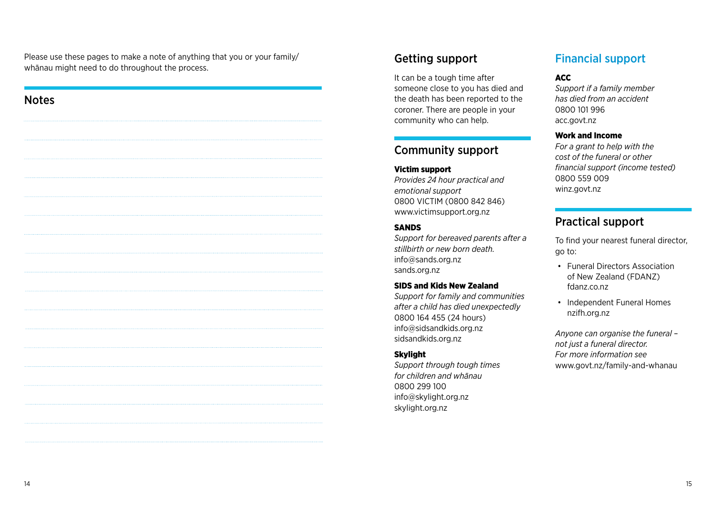Please use these pages to make a note of anything that you or your family/ whānau might need to do throughout the process.

| <b>Notes</b> |  |
|--------------|--|
|              |  |
|              |  |
|              |  |
|              |  |
|              |  |
|              |  |
|              |  |
|              |  |
|              |  |
|              |  |
|              |  |
|              |  |
|              |  |
|              |  |

## Getting support

It can be a tough time after someone close to you has died and the death has been reported to the coroner. There are people in your community who can help.

## Community support

Victim support *Provides 24 hour practical and emotional support* 0800 VICTIM (0800 842 846) [www.victimsupport.org.nz](http://www.victimsupport.org.nz/)

#### SANDS

*Support for bereaved parents after a stillbirth or new born death.* inf[o@sands.org.nz](mailto:contact%40sands.org.nz?subject=) [sands.org.nz](http://sands.org.nz/)

#### SIDS and Kids New Zealand

*Support for family and communities after a child has died unexpectedly* 0800 164 455 (24 hours) info@sidsandkids.org.nz [sidsandkids.org.nz](mailto:http://www.sidsandkids.org.nz/?subject=)

#### **Skylight**

*Support through tough times for children and whānau* 0800 299 100 info@skylight.org.nz [skylight.org.nz](mailto:http://skylight.org.nz/?subject=)

# Financial support

#### ACC

*Support if a family member has died from an accident* 0800 101 996 [acc.govt.nz](mailto:http://www.acc.co.nz/?subject=)

#### Work and Income

*For a grant to help with the cost of the funeral or other financial support (income tested)* 0800 559 009 [winz.govt.nz](mailto:http://www.workandincome.govt.nz/?subject=)

## Practical support

To find your nearest funeral director, go to:

- Funeral Directors Association of New Zealand (FDANZ) [fdanz.co.nz](http://www.fdanz.org/)
- Independent Funeral Homes [nzifh.org.nz](http://www.nzifh.org.nz/)

*Anyone can organise the funeral – not just a funeral director. For more information see*  [www.govt.nz](https://www.govt.nz/browse/family-and-whanau/death-and-bereavement/what-you-need-to-do-when-someone-dies/)/family-and-whanau